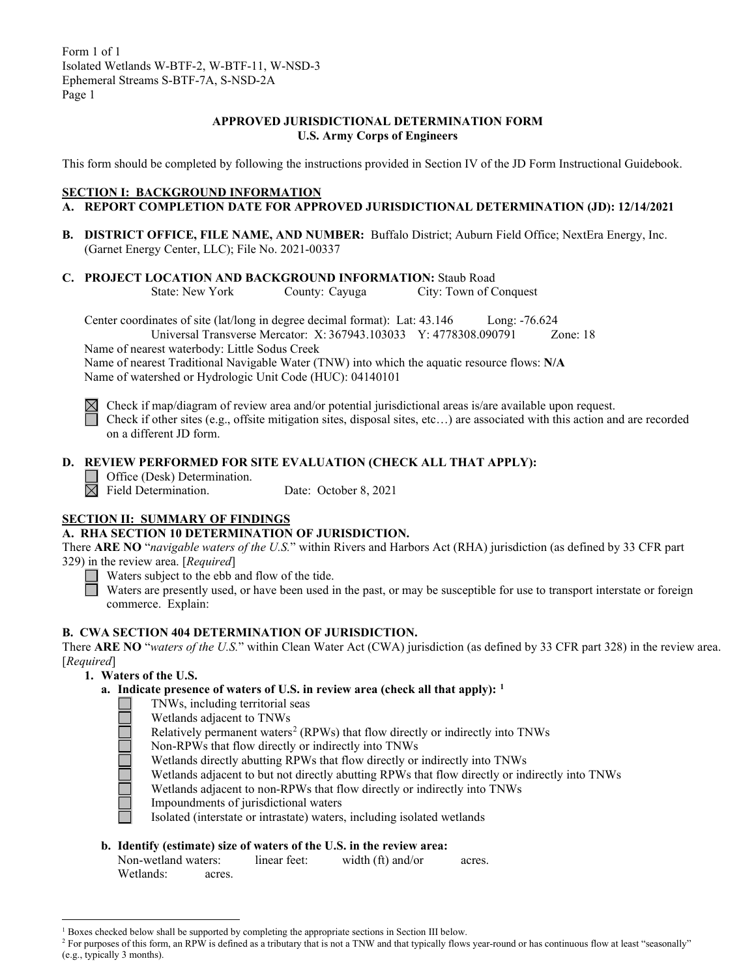## **APPROVED JURISDICTIONAL DETERMINATION FORM U.S. Army Corps of Engineers**

This form should be completed by following the instructions provided in Section IV of the JD Form Instructional Guidebook.

### **SECTION I: BACKGROUND INFORMATION**

## **A. REPORT COMPLETION DATE FOR APPROVED JURISDICTIONAL DETERMINATION (JD): 12/14/2021**

- **B. DISTRICT OFFICE, FILE NAME, AND NUMBER:** Buffalo District; Auburn Field Office; NextEra Energy, Inc. (Garnet Energy Center, LLC); File No. 2021-00337
- **C. PROJECT LOCATION AND BACKGROUND INFORMATION:** Staub Road

State: New York County: Cayuga City: Town of Conquest

Center coordinates of site (lat/long in degree decimal format): Lat: 43.146 Long: -76.624

Universal Transverse Mercator: X: 367943.103033 Y: 4778308.090791 Zone: 18 Name of nearest waterbody: Little Sodus Creek

Name of nearest Traditional Navigable Water (TNW) into which the aquatic resource flows: **N/A** Name of watershed or Hydrologic Unit Code (HUC): 04140101

 $\boxtimes$  Check if map/diagram of review area and/or potential jurisdictional areas is/are available upon request.

Check if other sites (e.g., offsite mitigation sites, disposal sites, etc…) are associated with this action and are recorded on a different JD form.

# **D. REVIEW PERFORMED FOR SITE EVALUATION (CHECK ALL THAT APPLY):**

Office (Desk) Determination.

 $\boxtimes$  Field Determination. Date: October 8, 2021

## **SECTION II: SUMMARY OF FINDINGS**

## **A. RHA SECTION 10 DETERMINATION OF JURISDICTION.**

There **ARE NO** "*navigable waters of the U.S.*" within Rivers and Harbors Act (RHA) jurisdiction (as defined by 33 CFR part 329) in the review area. [*Required*]

Waters subject to the ebb and flow of the tide.

Waters are presently used, or have been used in the past, or may be susceptible for use to transport interstate or foreign commerce. Explain:

## **B. CWA SECTION 404 DETERMINATION OF JURISDICTION.**

There **ARE NO** "*waters of the U.S.*" within Clean Water Act (CWA) jurisdiction (as defined by 33 CFR part 328) in the review area. [*Required*]

- **1. Waters of the U.S.**
	- **a. Indicate presence of waters of U.S. in review area (check all that apply): [1](#page-0-0)**
		- TNWs, including territorial seas
			- Wetlands adjacent to TNWs

Relatively permanent waters<sup>[2](#page-0-1)</sup> (RPWs) that flow directly or indirectly into TNWs

- Non-RPWs that flow directly or indirectly into TNWs
- Wetlands directly abutting RPWs that flow directly or indirectly into TNWs
- Wetlands adjacent to but not directly abutting RPWs that flow directly or indirectly into TNWs
- Wetlands adjacent to non-RPWs that flow directly or indirectly into TNWs
- Impoundments of jurisdictional waters
- Isolated (interstate or intrastate) waters, including isolated wetlands

## **b. Identify (estimate) size of waters of the U.S. in the review area:**

| Non-wetland waters: |        | linear feet: | width (ft) and/or | acres. |
|---------------------|--------|--------------|-------------------|--------|
| Wetlands:           | acres. |              |                   |        |

<span id="page-0-0"></span><sup>&</sup>lt;sup>1</sup> Boxes checked below shall be supported by completing the appropriate sections in Section III below.

<span id="page-0-1"></span><sup>&</sup>lt;sup>2</sup> For purposes of this form, an RPW is defined as a tributary that is not a TNW and that typically flows year-round or has continuous flow at least "seasonally" (e.g., typically 3 months).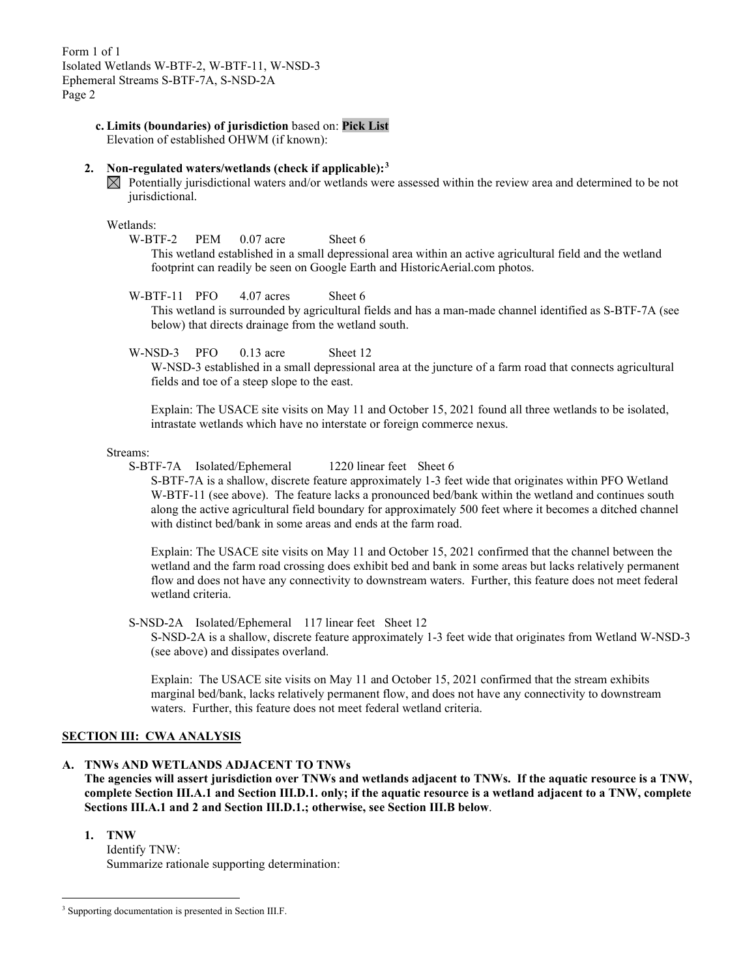**c. Limits (boundaries) of jurisdiction** based on: **Pick List**

Elevation of established OHWM (if known):

## **2. Non-regulated waters/wetlands (check if applicable):[3](#page-1-0)**

 $\boxtimes$  Potentially jurisdictional waters and/or wetlands were assessed within the review area and determined to be not jurisdictional.

## Wetlands:

W-BTF-2 PEM 0.07 acre Sheet 6

This wetland established in a small depressional area within an active agricultural field and the wetland footprint can readily be seen on Google Earth and HistoricAerial.com photos.

### W-BTF-11 PFO 4.07 acres Sheet 6

This wetland is surrounded by agricultural fields and has a man-made channel identified as S-BTF-7A (see below) that directs drainage from the wetland south.

W-NSD-3 PFO 0.13 acre Sheet 12

W-NSD-3 established in a small depressional area at the juncture of a farm road that connects agricultural fields and toe of a steep slope to the east.

Explain: The USACE site visits on May 11 and October 15, 2021 found all three wetlands to be isolated, intrastate wetlands which have no interstate or foreign commerce nexus.

#### Streams:

S-BTF-7A Isolated/Ephemeral 1220 linear feet Sheet 6

S-BTF-7A is a shallow, discrete feature approximately 1-3 feet wide that originates within PFO Wetland W-BTF-11 (see above). The feature lacks a pronounced bed/bank within the wetland and continues south along the active agricultural field boundary for approximately 500 feet where it becomes a ditched channel with distinct bed/bank in some areas and ends at the farm road.

Explain: The USACE site visits on May 11 and October 15, 2021 confirmed that the channel between the wetland and the farm road crossing does exhibit bed and bank in some areas but lacks relatively permanent flow and does not have any connectivity to downstream waters. Further, this feature does not meet federal wetland criteria.

S-NSD-2A Isolated/Ephemeral 117 linear feet Sheet 12

S-NSD-2A is a shallow, discrete feature approximately 1-3 feet wide that originates from Wetland W-NSD-3 (see above) and dissipates overland.

Explain: The USACE site visits on May 11 and October 15, 2021 confirmed that the stream exhibits marginal bed/bank, lacks relatively permanent flow, and does not have any connectivity to downstream waters. Further, this feature does not meet federal wetland criteria.

# **SECTION III: CWA ANALYSIS**

## **A. TNWs AND WETLANDS ADJACENT TO TNWs**

**The agencies will assert jurisdiction over TNWs and wetlands adjacent to TNWs. If the aquatic resource is a TNW, complete Section III.A.1 and Section III.D.1. only; if the aquatic resource is a wetland adjacent to a TNW, complete Sections III.A.1 and 2 and Section III.D.1.; otherwise, see Section III.B below**.

**1. TNW** 

Identify TNW: Summarize rationale supporting determination:

<span id="page-1-0"></span><sup>&</sup>lt;sup>3</sup> Supporting documentation is presented in Section III.F.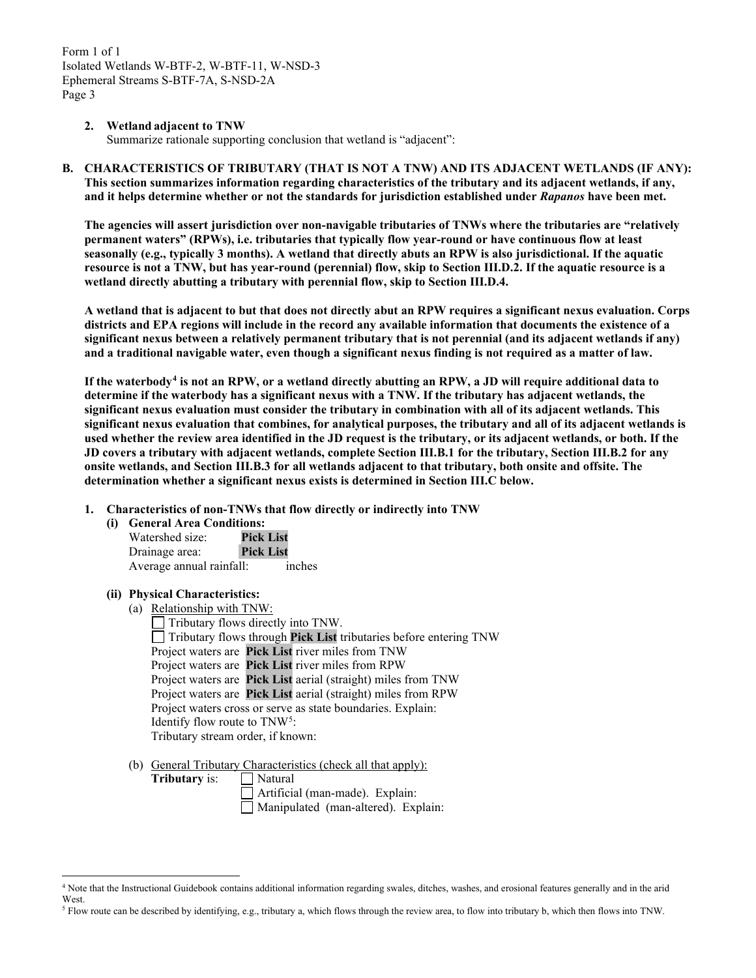### **2. Wetland adjacent to TNW**

Summarize rationale supporting conclusion that wetland is "adjacent":

**B. CHARACTERISTICS OF TRIBUTARY (THAT IS NOT A TNW) AND ITS ADJACENT WETLANDS (IF ANY): This section summarizes information regarding characteristics of the tributary and its adjacent wetlands, if any, and it helps determine whether or not the standards for jurisdiction established under** *Rapanos* **have been met.** 

**The agencies will assert jurisdiction over non-navigable tributaries of TNWs where the tributaries are "relatively permanent waters" (RPWs), i.e. tributaries that typically flow year-round or have continuous flow at least seasonally (e.g., typically 3 months). A wetland that directly abuts an RPW is also jurisdictional. If the aquatic resource is not a TNW, but has year-round (perennial) flow, skip to Section III.D.2. If the aquatic resource is a wetland directly abutting a tributary with perennial flow, skip to Section III.D.4.** 

**A wetland that is adjacent to but that does not directly abut an RPW requires a significant nexus evaluation. Corps districts and EPA regions will include in the record any available information that documents the existence of a significant nexus between a relatively permanent tributary that is not perennial (and its adjacent wetlands if any) and a traditional navigable water, even though a significant nexus finding is not required as a matter of law.**

**If the waterbody[4](#page-2-0) is not an RPW, or a wetland directly abutting an RPW, a JD will require additional data to determine if the waterbody has a significant nexus with a TNW. If the tributary has adjacent wetlands, the significant nexus evaluation must consider the tributary in combination with all of its adjacent wetlands. This significant nexus evaluation that combines, for analytical purposes, the tributary and all of its adjacent wetlands is used whether the review area identified in the JD request is the tributary, or its adjacent wetlands, or both. If the JD covers a tributary with adjacent wetlands, complete Section III.B.1 for the tributary, Section III.B.2 for any onsite wetlands, and Section III.B.3 for all wetlands adjacent to that tributary, both onsite and offsite. The determination whether a significant nexus exists is determined in Section III.C below.**

**1. Characteristics of non-TNWs that flow directly or indirectly into TNW**

#### **(i) General Area Conditions:**

Watershed size: **Pick List** Drainage area: **Pick List** Average annual rainfall: inches

#### **(ii) Physical Characteristics:**

(a) Relationship with TNW:

Tributary flows directly into TNW. Tributary flows through **Pick List** tributaries before entering TNW Project waters are **Pick List** river miles from TNW Project waters are **Pick List** river miles from RPW Project waters are **Pick List** aerial (straight) miles from TNW Project waters are **Pick List** aerial (straight) miles from RPW Project waters cross or serve as state boundaries. Explain: Identify flow route to TNW<sup>[5](#page-2-1)</sup>: Tributary stream order, if known:

(b) General Tributary Characteristics (check all that apply):

**Tributary** is: Natural

Artificial (man-made). Explain:

Manipulated (man-altered). Explain:

<span id="page-2-0"></span><sup>4</sup> Note that the Instructional Guidebook contains additional information regarding swales, ditches, washes, and erosional features generally and in the arid West.

<span id="page-2-1"></span><sup>5</sup> Flow route can be described by identifying, e.g., tributary a, which flows through the review area, to flow into tributary b, which then flows into TNW.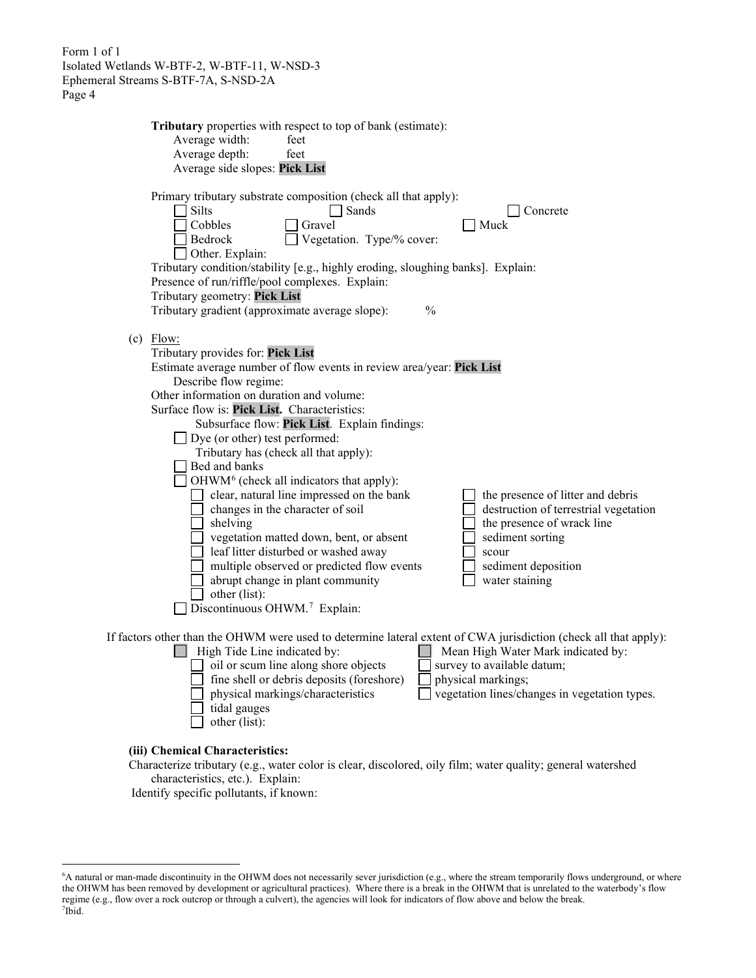|                             | Tributary properties with respect to top of bank (estimate):                                                                                                                                                                                                                                                                                                                         |                                                                                                                                         |                                                                            |
|-----------------------------|--------------------------------------------------------------------------------------------------------------------------------------------------------------------------------------------------------------------------------------------------------------------------------------------------------------------------------------------------------------------------------------|-----------------------------------------------------------------------------------------------------------------------------------------|----------------------------------------------------------------------------|
| Average width:              | feet                                                                                                                                                                                                                                                                                                                                                                                 |                                                                                                                                         |                                                                            |
| Average depth:              | feet                                                                                                                                                                                                                                                                                                                                                                                 |                                                                                                                                         |                                                                            |
|                             | Average side slopes: Pick List                                                                                                                                                                                                                                                                                                                                                       |                                                                                                                                         |                                                                            |
| Silts<br>Cobbles<br>Bedrock | Primary tributary substrate composition (check all that apply):<br>Sands<br>Gravel<br>Vegetation. Type/% cover:<br>Other. Explain:<br>Tributary condition/stability [e.g., highly eroding, sloughing banks]. Explain:<br>Presence of run/riffle/pool complexes. Explain:<br>Tributary geometry: Pick List<br>Tributary gradient (approximate average slope):                         | Concrete<br>Muck<br>$\frac{0}{0}$                                                                                                       |                                                                            |
| $(c)$ Flow:                 | Tributary provides for: Pick List<br>Estimate average number of flow events in review area/year: Pick List<br>Describe flow regime:<br>Other information on duration and volume:<br>Surface flow is: Pick List. Characteristics:<br>Subsurface flow: Pick List. Explain findings:<br>$\Box$ Dye (or other) test performed:<br>Tributary has (check all that apply):<br>Bed and banks |                                                                                                                                         |                                                                            |
|                             | OHWM <sup>6</sup> (check all indicators that apply):<br>clear, natural line impressed on the bank<br>changes in the character of soil<br>shelving<br>vegetation matted down, bent, or absent<br>leaf litter disturbed or washed away<br>multiple observed or predicted flow events<br>abrupt change in plant community<br>other (list):<br>Discontinuous OHWM. <sup>7</sup> Explain: | the presence of wrack line<br>sediment sorting<br>scour<br>sediment deposition<br>water staining                                        | the presence of litter and debris<br>destruction of terrestrial vegetation |
|                             | If factors other than the OHWM were used to determine lateral extent of CWA jurisdiction (check all that apply):<br>High Tide Line indicated by:<br>oil or scum line along shore objects<br>fine shell or debris deposits (foreshore)<br>physical markings/characteristics<br>tidal gauges<br>other (list):                                                                          | Mean High Water Mark indicated by:<br>survey to available datum;<br>physical markings;<br>vegetation lines/changes in vegetation types. |                                                                            |

**(iii) Chemical Characteristics:**

Characterize tributary (e.g., water color is clear, discolored, oily film; water quality; general watershed characteristics, etc.). Explain:

Identify specific pollutants, if known:

<span id="page-3-1"></span><span id="page-3-0"></span><sup>6</sup> A natural or man-made discontinuity in the OHWM does not necessarily sever jurisdiction (e.g., where the stream temporarily flows underground, or where the OHWM has been removed by development or agricultural practices). Where there is a break in the OHWM that is unrelated to the waterbody's flow regime (e.g., flow over a rock outcrop or through a culvert), the agencies will look for indicators of flow above and below the break. 7 Ibid.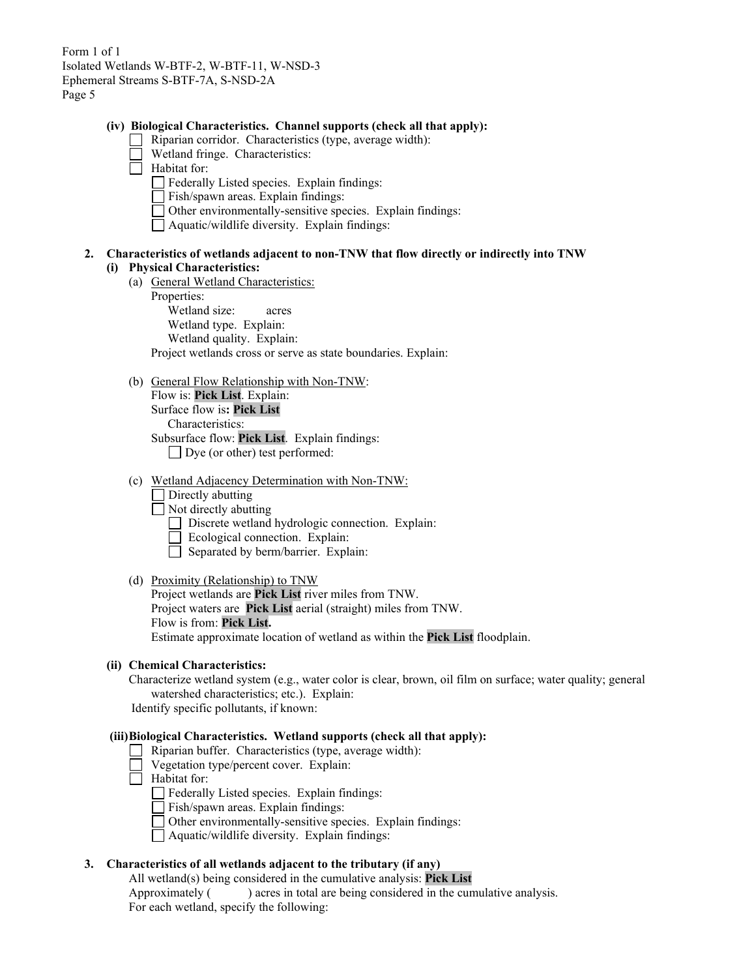#### **(iv) Biological Characteristics. Channel supports (check all that apply):**

- Riparian corridor. Characteristics (type, average width):
- Wetland fringe. Characteristics:
- $\Box$  Habitat for:
	- Federally Listed species. Explain findings:
	- Fish/spawn areas. Explain findings:
	- Other environmentally-sensitive species. Explain findings:
	- Aquatic/wildlife diversity. Explain findings:

## **2. Characteristics of wetlands adjacent to non-TNW that flow directly or indirectly into TNW (i) Physical Characteristics:**

- (a) General Wetland Characteristics:
	- Properties:

Wetland size: acres

Wetland type. Explain:

Wetland quality. Explain:

Project wetlands cross or serve as state boundaries. Explain:

(b) General Flow Relationship with Non-TNW:

Flow is: **Pick List**. Explain: Surface flow is**: Pick List**  Characteristics: Subsurface flow: **Pick List**. Explain findings: Dye (or other) test performed:

- (c) Wetland Adjacency Determination with Non-TNW:
	- Directly abutting
	- Not directly abutting
		- Discrete wetland hydrologic connection. Explain:
		- Ecological connection. Explain:
		- $\Box$  Separated by berm/barrier. Explain:
- (d) Proximity (Relationship) to TNW

Project wetlands are **Pick List** river miles from TNW. Project waters are **Pick List** aerial (straight) miles from TNW. Flow is from: **Pick List.** Estimate approximate location of wetland as within the **Pick List** floodplain.

### **(ii) Chemical Characteristics:**

Characterize wetland system (e.g., water color is clear, brown, oil film on surface; water quality; general watershed characteristics; etc.). Explain:

Identify specific pollutants, if known:

### **(iii)Biological Characteristics. Wetland supports (check all that apply):**

- Riparian buffer. Characteristics (type, average width):
- Vegetation type/percent cover. Explain:
- $\Box$  Habitat for:

Federally Listed species. Explain findings:

- Fish/spawn areas. Explain findings:
- Other environmentally-sensitive species. Explain findings:
- Aquatic/wildlife diversity. Explain findings:

## **3. Characteristics of all wetlands adjacent to the tributary (if any)**

All wetland(s) being considered in the cumulative analysis: **Pick List** Approximately ( ) acres in total are being considered in the cumulative analysis. For each wetland, specify the following: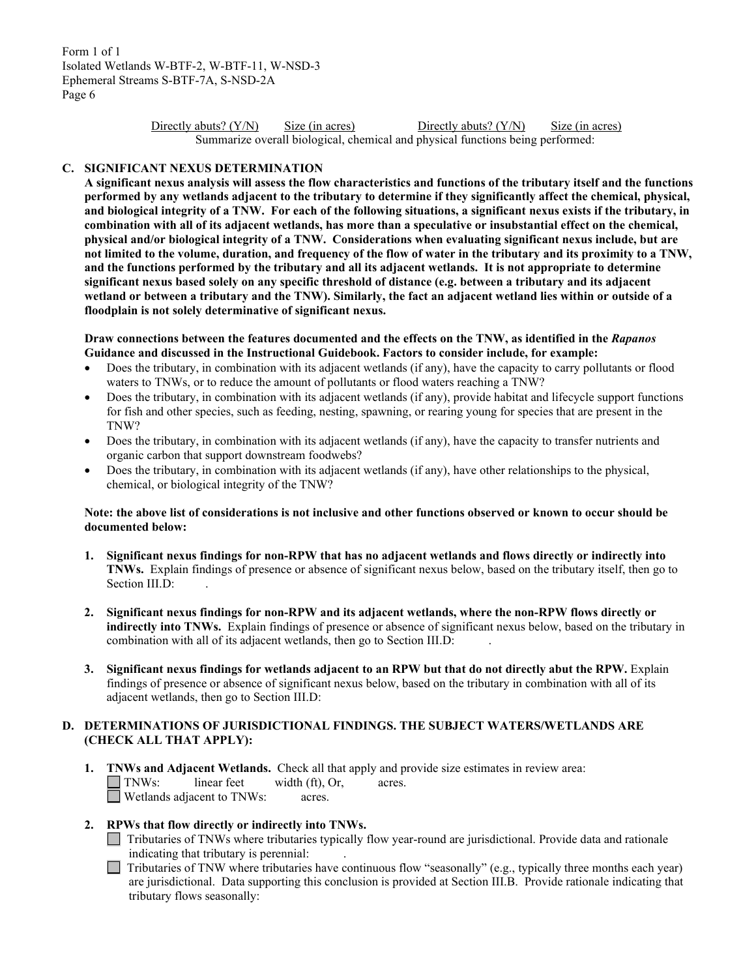> Directly abuts? (Y/N) Size (in acres) Directly abuts? (Y/N) Size (in acres) Summarize overall biological, chemical and physical functions being performed:

### **C. SIGNIFICANT NEXUS DETERMINATION**

**A significant nexus analysis will assess the flow characteristics and functions of the tributary itself and the functions performed by any wetlands adjacent to the tributary to determine if they significantly affect the chemical, physical, and biological integrity of a TNW. For each of the following situations, a significant nexus exists if the tributary, in combination with all of its adjacent wetlands, has more than a speculative or insubstantial effect on the chemical, physical and/or biological integrity of a TNW. Considerations when evaluating significant nexus include, but are not limited to the volume, duration, and frequency of the flow of water in the tributary and its proximity to a TNW, and the functions performed by the tributary and all its adjacent wetlands. It is not appropriate to determine significant nexus based solely on any specific threshold of distance (e.g. between a tributary and its adjacent wetland or between a tributary and the TNW). Similarly, the fact an adjacent wetland lies within or outside of a floodplain is not solely determinative of significant nexus.** 

**Draw connections between the features documented and the effects on the TNW, as identified in the** *Rapanos* **Guidance and discussed in the Instructional Guidebook. Factors to consider include, for example:**

- Does the tributary, in combination with its adjacent wetlands (if any), have the capacity to carry pollutants or flood waters to TNWs, or to reduce the amount of pollutants or flood waters reaching a TNW?
- Does the tributary, in combination with its adjacent wetlands (if any), provide habitat and lifecycle support functions for fish and other species, such as feeding, nesting, spawning, or rearing young for species that are present in the TNW?
- Does the tributary, in combination with its adjacent wetlands (if any), have the capacity to transfer nutrients and organic carbon that support downstream foodwebs?
- Does the tributary, in combination with its adjacent wetlands (if any), have other relationships to the physical, chemical, or biological integrity of the TNW?

### **Note: the above list of considerations is not inclusive and other functions observed or known to occur should be documented below:**

- **1. Significant nexus findings for non-RPW that has no adjacent wetlands and flows directly or indirectly into TNWs.** Explain findings of presence or absence of significant nexus below, based on the tributary itself, then go to Section III.D:
- **2. Significant nexus findings for non-RPW and its adjacent wetlands, where the non-RPW flows directly or indirectly into TNWs.** Explain findings of presence or absence of significant nexus below, based on the tributary in combination with all of its adjacent wetlands, then go to Section III.D:
- **3. Significant nexus findings for wetlands adjacent to an RPW but that do not directly abut the RPW.** Explain findings of presence or absence of significant nexus below, based on the tributary in combination with all of its adjacent wetlands, then go to Section III.D:

# **D. DETERMINATIONS OF JURISDICTIONAL FINDINGS. THE SUBJECT WATERS/WETLANDS ARE (CHECK ALL THAT APPLY):**

- **1. INWs and Adjacent Wetlands.** Check all that apply and provide size estimates in review area:<br> **1. TNWs:** linear feet width (ft), Or, acres.  $linear feet \t width (ft), Or, \t acres.$ Wetlands adjacent to TNWs: acres.
- **2. RPWs that flow directly or indirectly into TNWs.**
	- Tributaries of TNWs where tributaries typically flow year-round are jurisdictional. Provide data and rationale indicating that tributary is perennial: .
	- Tributaries of TNW where tributaries have continuous flow "seasonally" (e.g., typically three months each year) are jurisdictional. Data supporting this conclusion is provided at Section III.B. Provide rationale indicating that tributary flows seasonally: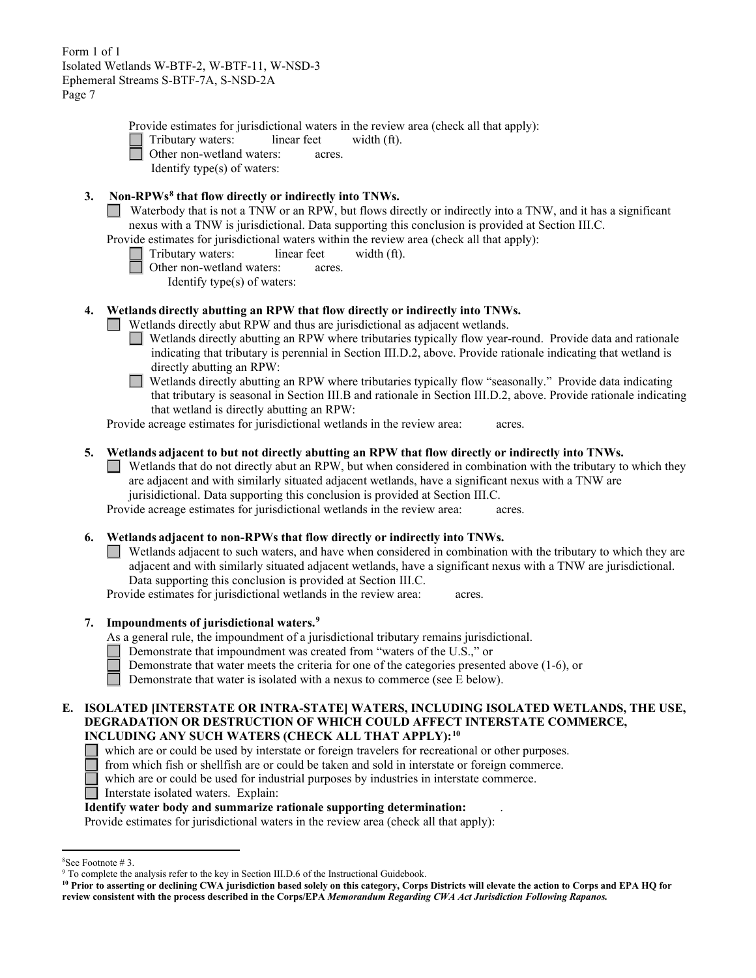Provide estimates for jurisdictional waters in the review area (check all that apply):

Tributary waters: linear feet width (ft).

Other non-wetland waters: acres.

Identify type(s) of waters:

# **3. Non-RPWs[8](#page-6-0) that flow directly or indirectly into TNWs.**

Waterbody that is not a TNW or an RPW, but flows directly or indirectly into a TNW, and it has a significant nexus with a TNW is jurisdictional. Data supporting this conclusion is provided at Section III.C.

Provide estimates for jurisdictional waters within the review area (check all that apply):

- Tributary waters: linear feet width (ft).
	- Other non-wetland waters: acres.

Identify type(s) of waters:

## **4. Wetlands directly abutting an RPW that flow directly or indirectly into TNWs.**

Wetlands directly abut RPW and thus are jurisdictional as adjacent wetlands.

Wetlands directly abutting an RPW where tributaries typically flow year-round. Provide data and rationale indicating that tributary is perennial in Section III.D.2, above. Provide rationale indicating that wetland is directly abutting an RPW:

 $\Box$ Wetlands directly abutting an RPW where tributaries typically flow "seasonally." Provide data indicating that tributary is seasonal in Section III.B and rationale in Section III.D.2, above. Provide rationale indicating that wetland is directly abutting an RPW:

Provide acreage estimates for jurisdictional wetlands in the review area: acres.

## **5. Wetlands adjacent to but not directly abutting an RPW that flow directly or indirectly into TNWs.**

 $\Box$  Wetlands that do not directly abut an RPW, but when considered in combination with the tributary to which they are adjacent and with similarly situated adjacent wetlands, have a significant nexus with a TNW are jurisidictional. Data supporting this conclusion is provided at Section III.C.

Provide acreage estimates for jurisdictional wetlands in the review area: acres.

## **6. Wetlands adjacent to non-RPWs that flow directly or indirectly into TNWs.**

Wetlands adjacent to such waters, and have when considered in combination with the tributary to which they are adjacent and with similarly situated adjacent wetlands, have a significant nexus with a TNW are jurisdictional. Data supporting this conclusion is provided at Section III.C.

Provide estimates for jurisdictional wetlands in the review area: acres.

## **7. Impoundments of jurisdictional waters. [9](#page-6-1)**

As a general rule, the impoundment of a jurisdictional tributary remains jurisdictional.

Demonstrate that impoundment was created from "waters of the U.S.," or

Demonstrate that water meets the criteria for one of the categories presented above (1-6), or

Demonstrate that water is isolated with a nexus to commerce (see E below).

### **E. ISOLATED [INTERSTATE OR INTRA-STATE] WATERS, INCLUDING ISOLATED WETLANDS, THE USE, DEGRADATION OR DESTRUCTION OF WHICH COULD AFFECT INTERSTATE COMMERCE, INCLUDING ANY SUCH WATERS (CHECK ALL THAT APPLY):[10](#page-6-2)**

which are or could be used by interstate or foreign travelers for recreational or other purposes.

from which fish or shellfish are or could be taken and sold in interstate or foreign commerce.

which are or could be used for industrial purposes by industries in interstate commerce.

Interstate isolated waters.Explain:

## **Identify water body and summarize rationale supporting determination:** .

Provide estimates for jurisdictional waters in the review area (check all that apply):

<span id="page-6-0"></span><sup>&</sup>lt;sup>8</sup>See Footnote #3.

<span id="page-6-1"></span> $9$  To complete the analysis refer to the key in Section III.D.6 of the Instructional Guidebook.

<span id="page-6-2"></span>**<sup>10</sup> Prior to asserting or declining CWA jurisdiction based solely on this category, Corps Districts will elevate the action to Corps and EPA HQ for review consistent with the process described in the Corps/EPA** *Memorandum Regarding CWA Act Jurisdiction Following Rapanos.*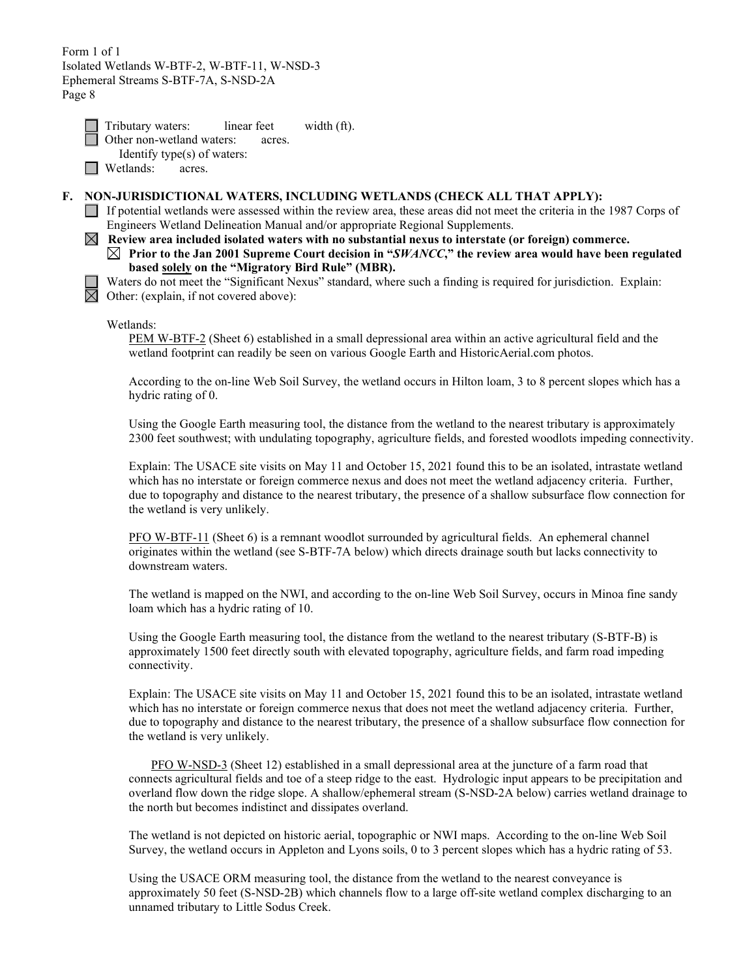| Tributary waters:         | linear feet | width (ft). |
|---------------------------|-------------|-------------|
| Other non-wetland waters: | acres.      |             |

- Identify type(s) of waters:
- **Netlands:** acres.

# **F. NON-JURISDICTIONAL WATERS, INCLUDING WETLANDS (CHECK ALL THAT APPLY):**

If potential wetlands were assessed within the review area, these areas did not meet the criteria in the 1987 Corps of Engineers Wetland Delineation Manual and/or appropriate Regional Supplements.

 $\boxtimes$  Review area included isolated waters with no substantial nexus to interstate (or foreign) commerce. **Prior to the Jan 2001 Supreme Court decision in "***SWANCC***," the review area would have been regulated based solely on the "Migratory Bird Rule" (MBR).** 

Waters do not meet the "Significant Nexus" standard, where such a finding is required for jurisdiction. Explain:  $\boxtimes$  Other: (explain, if not covered above):

## Wetlands:

PEM W-BTF-2 (Sheet 6) established in a small depressional area within an active agricultural field and the wetland footprint can readily be seen on various Google Earth and HistoricAerial.com photos.

According to the on-line Web Soil Survey, the wetland occurs in Hilton loam, 3 to 8 percent slopes which has a hydric rating of 0.

Using the Google Earth measuring tool, the distance from the wetland to the nearest tributary is approximately 2300 feet southwest; with undulating topography, agriculture fields, and forested woodlots impeding connectivity.

Explain: The USACE site visits on May 11 and October 15, 2021 found this to be an isolated, intrastate wetland which has no interstate or foreign commerce nexus and does not meet the wetland adjacency criteria. Further, due to topography and distance to the nearest tributary, the presence of a shallow subsurface flow connection for the wetland is very unlikely.

PFO W-BTF-11 (Sheet 6) is a remnant woodlot surrounded by agricultural fields. An ephemeral channel originates within the wetland (see S-BTF-7A below) which directs drainage south but lacks connectivity to downstream waters.

The wetland is mapped on the NWI, and according to the on-line Web Soil Survey, occurs in Minoa fine sandy loam which has a hydric rating of 10.

Using the Google Earth measuring tool, the distance from the wetland to the nearest tributary (S-BTF-B) is approximately 1500 feet directly south with elevated topography, agriculture fields, and farm road impeding connectivity.

Explain: The USACE site visits on May 11 and October 15, 2021 found this to be an isolated, intrastate wetland which has no interstate or foreign commerce nexus that does not meet the wetland adjacency criteria. Further, due to topography and distance to the nearest tributary, the presence of a shallow subsurface flow connection for the wetland is very unlikely.

PFO W-NSD-3 (Sheet 12) established in a small depressional area at the juncture of a farm road that connects agricultural fields and toe of a steep ridge to the east. Hydrologic input appears to be precipitation and overland flow down the ridge slope. A shallow/ephemeral stream (S-NSD-2A below) carries wetland drainage to the north but becomes indistinct and dissipates overland.

The wetland is not depicted on historic aerial, topographic or NWI maps. According to the on-line Web Soil Survey, the wetland occurs in Appleton and Lyons soils, 0 to 3 percent slopes which has a hydric rating of 53.

Using the USACE ORM measuring tool, the distance from the wetland to the nearest conveyance is approximately 50 feet (S-NSD-2B) which channels flow to a large off-site wetland complex discharging to an unnamed tributary to Little Sodus Creek.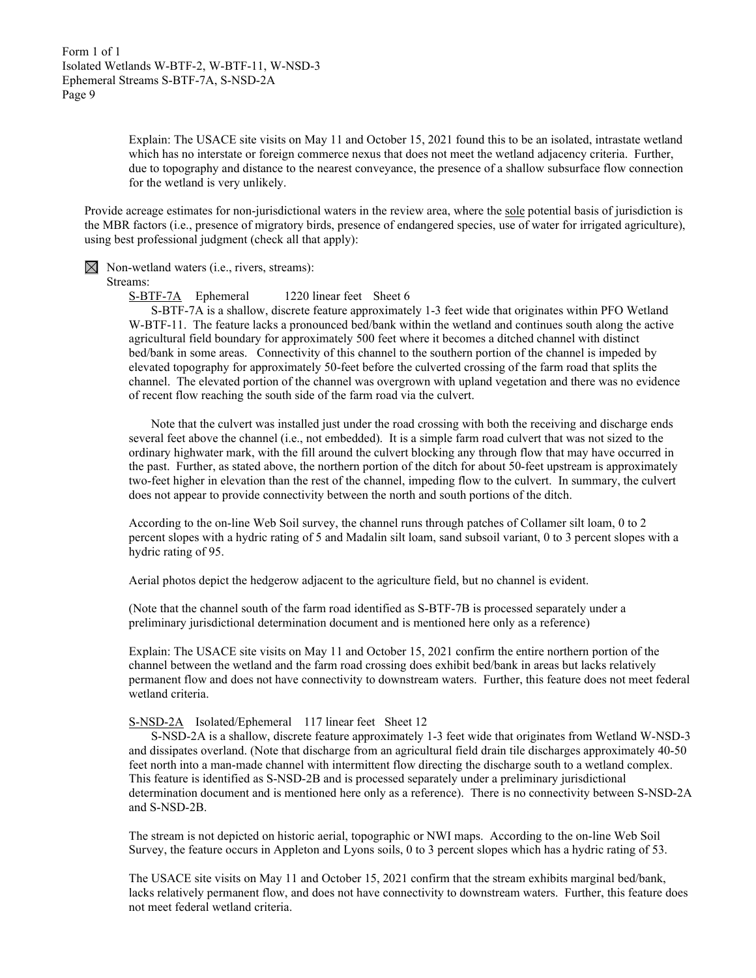Explain: The USACE site visits on May 11 and October 15, 2021 found this to be an isolated, intrastate wetland which has no interstate or foreign commerce nexus that does not meet the wetland adjacency criteria. Further, due to topography and distance to the nearest conveyance, the presence of a shallow subsurface flow connection for the wetland is very unlikely.

Provide acreage estimates for non-jurisdictional waters in the review area, where the sole potential basis of jurisdiction is the MBR factors (i.e., presence of migratory birds, presence of endangered species, use of water for irrigated agriculture), using best professional judgment (check all that apply):

 $\boxtimes$  Non-wetland waters (i.e., rivers, streams):

#### Streams:

S-BTF-7A Ephemeral 1220 linear feet Sheet 6

S-BTF-7A is a shallow, discrete feature approximately 1-3 feet wide that originates within PFO Wetland W-BTF-11. The feature lacks a pronounced bed/bank within the wetland and continues south along the active agricultural field boundary for approximately 500 feet where it becomes a ditched channel with distinct bed/bank in some areas. Connectivity of this channel to the southern portion of the channel is impeded by elevated topography for approximately 50-feet before the culverted crossing of the farm road that splits the channel. The elevated portion of the channel was overgrown with upland vegetation and there was no evidence of recent flow reaching the south side of the farm road via the culvert.

Note that the culvert was installed just under the road crossing with both the receiving and discharge ends several feet above the channel (i.e., not embedded). It is a simple farm road culvert that was not sized to the ordinary highwater mark, with the fill around the culvert blocking any through flow that may have occurred in the past. Further, as stated above, the northern portion of the ditch for about 50-feet upstream is approximately two-feet higher in elevation than the rest of the channel, impeding flow to the culvert. In summary, the culvert does not appear to provide connectivity between the north and south portions of the ditch.

According to the on-line Web Soil survey, the channel runs through patches of Collamer silt loam, 0 to 2 percent slopes with a hydric rating of 5 and Madalin silt loam, sand subsoil variant, 0 to 3 percent slopes with a hydric rating of 95.

Aerial photos depict the hedgerow adjacent to the agriculture field, but no channel is evident.

(Note that the channel south of the farm road identified as S-BTF-7B is processed separately under a preliminary jurisdictional determination document and is mentioned here only as a reference)

Explain: The USACE site visits on May 11 and October 15, 2021 confirm the entire northern portion of the channel between the wetland and the farm road crossing does exhibit bed/bank in areas but lacks relatively permanent flow and does not have connectivity to downstream waters. Further, this feature does not meet federal wetland criteria.

## S-NSD-2A Isolated/Ephemeral 117 linear feet Sheet 12

S-NSD-2A is a shallow, discrete feature approximately 1-3 feet wide that originates from Wetland W-NSD-3 and dissipates overland. (Note that discharge from an agricultural field drain tile discharges approximately 40-50 feet north into a man-made channel with intermittent flow directing the discharge south to a wetland complex. This feature is identified as S-NSD-2B and is processed separately under a preliminary jurisdictional determination document and is mentioned here only as a reference). There is no connectivity between S-NSD-2A and S-NSD-2B.

The stream is not depicted on historic aerial, topographic or NWI maps. According to the on-line Web Soil Survey, the feature occurs in Appleton and Lyons soils, 0 to 3 percent slopes which has a hydric rating of 53.

The USACE site visits on May 11 and October 15, 2021 confirm that the stream exhibits marginal bed/bank, lacks relatively permanent flow, and does not have connectivity to downstream waters. Further, this feature does not meet federal wetland criteria.